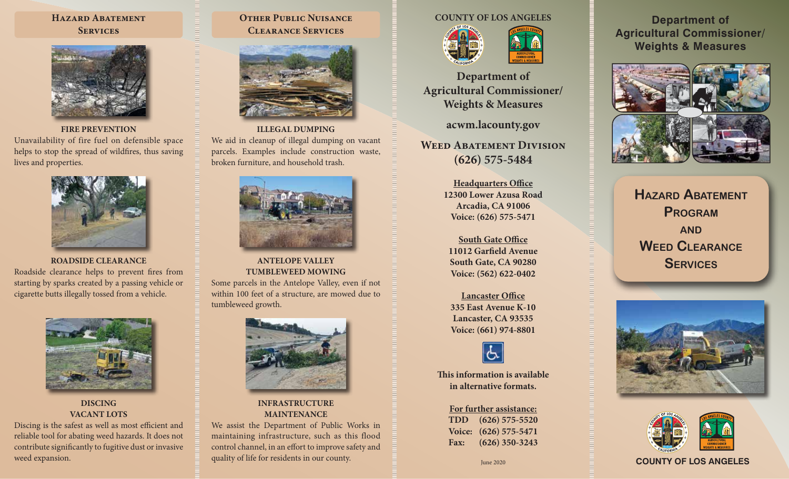#### **Hazard Abatement Services**



**FIRE PREVENTION** Unavailability of fire fuel on defensible space helps to stop the spread of wildfires, thus saving lives and properties.



**ROADSIDE CLEARANCE** Roadside clearance helps to prevent fires from starting by sparks created by a passing vehicle or cigarette butts illegally tossed from a vehicle.



**DISCING VACANT LOTS**

Discing is the safest as well as most efficient and reliable tool for abating weed hazards. It does not contribute significantly to fugitive dust or invasive weed expansion.

#### **Other Public Nuisance Clearance Services**



**ILLEGAL DUMPING** We aid in cleanup of illegal dumping on vacant parcels. Examples include construction waste, broken furniture, and household trash.



**ANTELOPE VALLEY TUMBLEWEED MOWING** Some parcels in the Antelope Valley, even if not within 100 feet of a structure, are mowed due to

tumbleweed growth.



#### **INFRASTRUCTURE MAINTENANCE**

We assist the Department of Public Works in maintaining infrastructure, such as this flood control channel, in an effort to improve safety and quality of life for residents in our county.

#### **COUNTY OF LOS ANGELES**



**Department of Agricultural Commissioner/ Weights & Measures**

**acwm.lacounty.gov**

**Weed Abatement Division (626) 575-5484**

> **Headquarters Office 12300 Lower Azusa Road Arcadia, CA 91006 Voice: (626) 575-5471**

**South Gate Office 11012 Garfield Avenue South Gate, CA 90280 Voice: (562) 622-0402**

**Lancaster Office 335 East Avenue K-10 Lancaster, CA 93535 Voice: (661) 974-8801**



**This information is available in alternative formats.**

# **For further assistance: TDD (626) 575-5520 Voice: (626) 575-5471**

**Fax: (626) 350-3243**

**Department of Agricultural Commissioner/ Weights & Measures**



**Hazard Abatement Program and Weed Clearance Services**